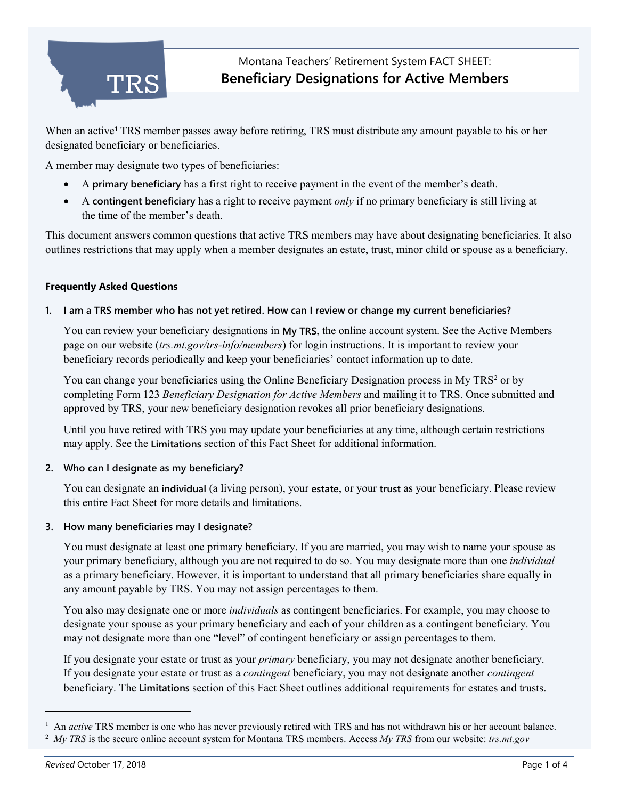

When an active**[1](#page-0-0)** TRS member passes away before retiring, TRS must distribute any amount payable to his or her designated beneficiary or beneficiaries.

A member may designate two types of beneficiaries:

- A **primary beneficiary** has a first right to receive payment in the event of the member's death.
- A **contingent beneficiary** has a right to receive payment *only* if no primary beneficiary is still living at the time of the member's death.

This document answers common questions that active TRS members may have about designating beneficiaries. It also outlines restrictions that may apply when a member designates an estate, trust, minor child or spouse as a beneficiary.

# **Frequently Asked Questions**

# **1. I am a TRS member who has not yet retired. How can I review or change my current beneficiaries?**

You can review your beneficiary designations in **My TRS**, the online account system. See the Active Members page on our website (*trs.mt.gov/trs-info/members*) for login instructions. It is important to review your beneficiary records periodically and keep your beneficiaries' contact information up to date.

You can change your beneficiaries using the Online Beneficiary Designation process in My TRS<sup>[2](#page-0-1)</sup> or by completing Form 123 *Beneficiary Designation for Active Members* and mailing it to TRS. Once submitted and approved by TRS, your new beneficiary designation revokes all prior beneficiary designations.

Until you have retired with TRS you may update your beneficiaries at any time, although certain restrictions may apply. See the **Limitations** section of this Fact Sheet for additional information.

## **2. Who can I designate as my beneficiary?**

You can designate an **individual** (a living person), your **estate**, or your **trust** as your beneficiary. Please review this entire Fact Sheet for more details and limitations.

## **3. How many beneficiaries may I designate?**

You must designate at least one primary beneficiary. If you are married, you may wish to name your spouse as your primary beneficiary, although you are not required to do so. You may designate more than one *individual* as a primary beneficiary. However, it is important to understand that all primary beneficiaries share equally in any amount payable by TRS. You may not assign percentages to them.

You also may designate one or more *individuals* as contingent beneficiaries. For example, you may choose to designate your spouse as your primary beneficiary and each of your children as a contingent beneficiary. You may not designate more than one "level" of contingent beneficiary or assign percentages to them.

If you designate your estate or trust as your *primary* beneficiary, you may not designate another beneficiary. If you designate your estate or trust as a *contingent* beneficiary, you may not designate another *contingent* beneficiary. The **Limitations** section of this Fact Sheet outlines additional requirements for estates and trusts.

j

<span id="page-0-0"></span><sup>&</sup>lt;sup>1</sup> An *active* TRS member is one who has never previously retired with TRS and has not withdrawn his or her account balance.

<span id="page-0-1"></span><sup>2</sup> *My TRS* is the secure online account system for Montana TRS members. Access *My TRS* from our website: *trs.mt.gov*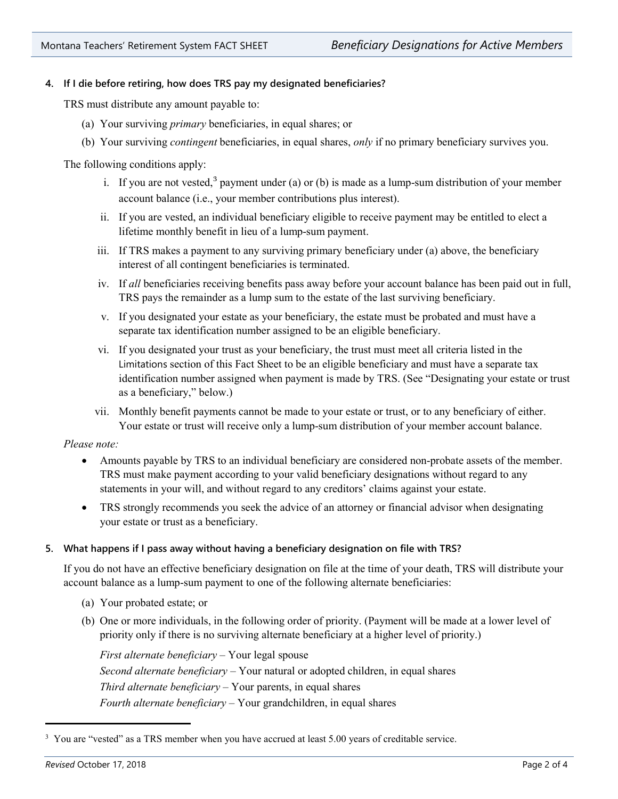# **4. If I die before retiring, how does TRS pay my designated beneficiaries?**

TRS must distribute any amount payable to:

- (a) Your surviving *primary* beneficiaries, in equal shares; or
- (b) Your surviving *contingent* beneficiaries, in equal shares, *only* if no primary beneficiary survives you.

The following conditions apply:

- i. If you are not vested,<sup>[3](#page-1-0)</sup> payment under (a) or (b) is made as a lump-sum distribution of your member account balance (i.e., your member contributions plus interest).
- ii. If you are vested, an individual beneficiary eligible to receive payment may be entitled to elect a lifetime monthly benefit in lieu of a lump-sum payment.
- iii. If TRS makes a payment to any surviving primary beneficiary under (a) above, the beneficiary interest of all contingent beneficiaries is terminated.
- iv. If *all* beneficiaries receiving benefits pass away before your account balance has been paid out in full, TRS pays the remainder as a lump sum to the estate of the last surviving beneficiary.
- v. If you designated your estate as your beneficiary, the estate must be probated and must have a separate tax identification number assigned to be an eligible beneficiary.
- vi. If you designated your trust as your beneficiary, the trust must meet all criteria listed in the Limitations section of this Fact Sheet to be an eligible beneficiary and must have a separate tax identification number assigned when payment is made by TRS. (See "Designating your estate or trust as a beneficiary," below.)
- vii. Monthly benefit payments cannot be made to your estate or trust, or to any beneficiary of either. Your estate or trust will receive only a lump-sum distribution of your member account balance.

*Please note:*

- Amounts payable by TRS to an individual beneficiary are considered non-probate assets of the member. TRS must make payment according to your valid beneficiary designations without regard to any statements in your will, and without regard to any creditors' claims against your estate.
- TRS strongly recommends you seek the advice of an attorney or financial advisor when designating your estate or trust as a beneficiary.

## **5. What happens if I pass away without having a beneficiary designation on file with TRS?**

If you do not have an effective beneficiary designation on file at the time of your death, TRS will distribute your account balance as a lump-sum payment to one of the following alternate beneficiaries:

- (a) Your probated estate; or
- (b) One or more individuals, in the following order of priority. (Payment will be made at a lower level of priority only if there is no surviving alternate beneficiary at a higher level of priority.)

*First alternate beneficiary –* Your legal spouse *Second alternate beneficiary –* Your natural or adopted children, in equal shares *Third alternate beneficiary –* Your parents, in equal shares *Fourth alternate beneficiary –* Your grandchildren, in equal shares

j

<span id="page-1-0"></span><sup>&</sup>lt;sup>3</sup> You are "vested" as a TRS member when you have accrued at least 5.00 years of creditable service.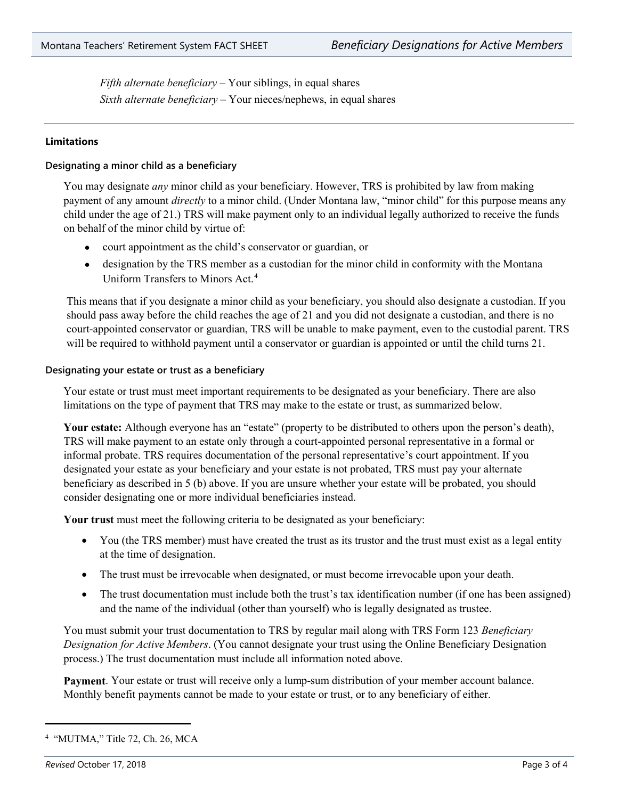*Fifth alternate beneficiary –* Your siblings, in equal shares *Sixth alternate beneficiary –* Your nieces/nephews, in equal shares

## **Limitations**

#### **Designating a minor child as a beneficiary**

You may designate *any* minor child as your beneficiary. However, TRS is prohibited by law from making payment of any amount *directly* to a minor child. (Under Montana law, "minor child" for this purpose means any child under the age of 21.) TRS will make payment only to an individual legally authorized to receive the funds on behalf of the minor child by virtue of:

- court appointment as the child's conservator or guardian, or
- designation by the TRS member as a custodian for the minor child in conformity with the Montana Uniform Transfers to Minors Act.[4](#page-2-0)

This means that if you designate a minor child as your beneficiary, you should also designate a custodian. If you should pass away before the child reaches the age of 21 and you did not designate a custodian, and there is no court-appointed conservator or guardian, TRS will be unable to make payment, even to the custodial parent. TRS will be required to withhold payment until a conservator or guardian is appointed or until the child turns 21.

#### **Designating your estate or trust as a beneficiary**

Your estate or trust must meet important requirements to be designated as your beneficiary. There are also limitations on the type of payment that TRS may make to the estate or trust, as summarized below.

**Your estate:** Although everyone has an "estate" (property to be distributed to others upon the person's death), TRS will make payment to an estate only through a court-appointed personal representative in a formal or informal probate. TRS requires documentation of the personal representative's court appointment. If you designated your estate as your beneficiary and your estate is not probated, TRS must pay your alternate beneficiary as described in 5 (b) above. If you are unsure whether your estate will be probated, you should consider designating one or more individual beneficiaries instead.

**Your trust** must meet the following criteria to be designated as your beneficiary:

- You (the TRS member) must have created the trust as its trustor and the trust must exist as a legal entity at the time of designation.
- The trust must be irrevocable when designated, or must become irrevocable upon your death.
- The trust documentation must include both the trust's tax identification number (if one has been assigned) and the name of the individual (other than yourself) who is legally designated as trustee.

You must submit your trust documentation to TRS by regular mail along with TRS Form 123 *Beneficiary Designation for Active Members*. (You cannot designate your trust using the Online Beneficiary Designation process.) The trust documentation must include all information noted above.

**Payment**. Your estate or trust will receive only a lump-sum distribution of your member account balance. Monthly benefit payments cannot be made to your estate or trust, or to any beneficiary of either.

j

<span id="page-2-0"></span><sup>4</sup> "MUTMA," Title 72, Ch. 26, MCA